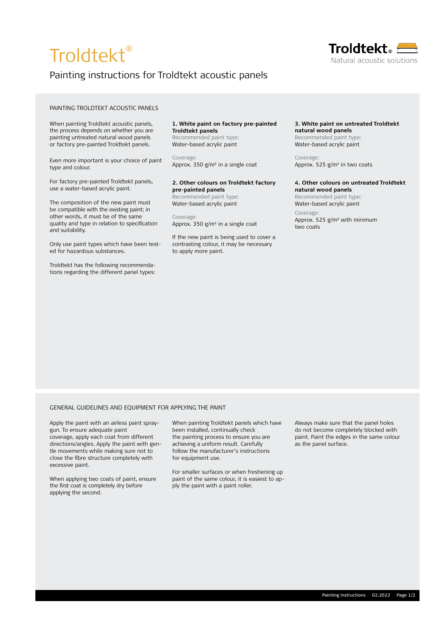# Troldtekt®

# Painting instructions for Troldtekt acoustic panels

# PAINTING TROLDTEKT ACOUSTIC PANELS

When painting Troldtekt acoustic panels, the process depends on whether you are painting untreated natural wood panels or factory pre-painted Troldtekt panels.

Even more important is your choice of paint type and colour.

For factory pre-painted Troldtekt panels, use a water-based acrylic paint.

The composition of the new paint must be compatible with the existing paint; in other words, it must be of the same quality and type in relation to specification and suitability.

Only use paint types which have been tested for hazardous substances.

Troldtekt has the following recommendations regarding the different panel types: **1. White paint on factory pre-painted Troldtekt panels**

Recommended paint type: Water-based acrylic paint

Coverage: Approx. 350 g/m² in a single coat

#### **2. Other colours on Troldtekt factory pre-painted panels**

Recommended paint type: Water-based acrylic paint

Coverage: Approx. 350 g/m² in a single coat

If the new paint is being used to cover a contrasting colour, it may be necessary to apply more paint.

### **3. White paint on untreated Troldtekt natural wood panels**

Recommended paint type: Water-based acrylic paint

Coverage: Approx. 525 g/m² in two coats

#### **4. Other colours on untreated Troldtekt natural wood panels**

Recommended paint type: Water-based acrylic paint Coverage:

Approx. 525 g/m² with minimum two coats

#### GENERAL GUIDELINES AND EQUIPMENT FOR APPLYING THE PAINT

Apply the paint with an airless paint spraygun. To ensure adequate paint coverage, apply each coat from different directions/angles. Apply the paint with gentle movements while making sure not to close the fibre structure completely with excessive paint.

When applying two coats of paint, ensure the first coat is completely dry before applying the second.

When painting Troldtekt panels which have been installed, continually check the painting process to ensure you are achieving a uniform result. Carefully follow the manufacturer's instructions for equipment use.

For smaller surfaces or when freshening up paint of the same colour, it is easiest to apply the paint with a paint roller.

Always make sure that the panel holes do not become completely blocked with paint. Paint the edges in the same colour as the panel surface.